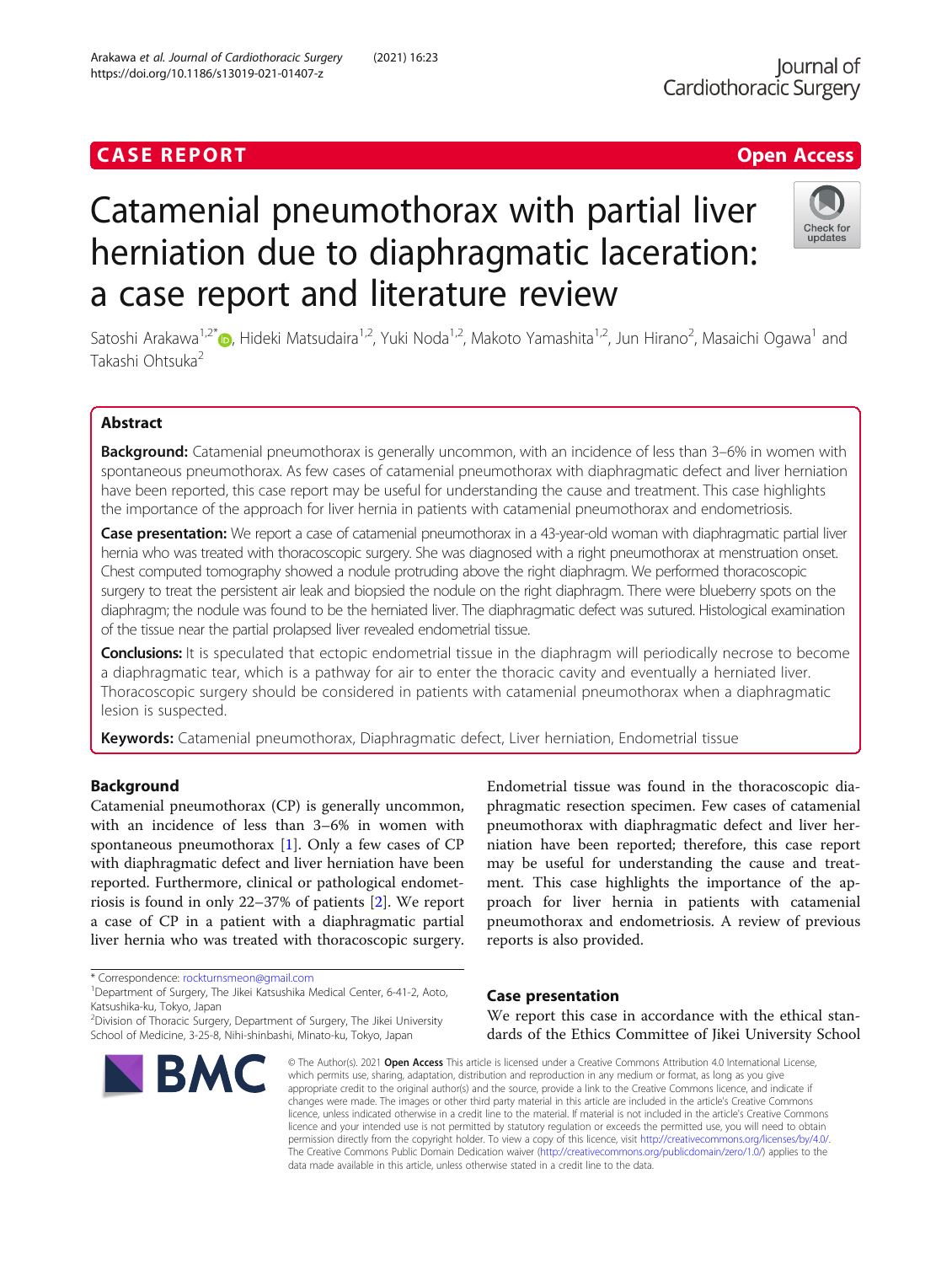# **CASE REPORT CASE ACCESS**

# Catamenial pneumothorax with partial liver herniation due to diaphragmatic laceration: a case report and literature review

Satoshi Arakawa<sup>1,2[\\*](http://orcid.org/0000-0002-0076-5447)</sup>�, Hideki Matsudaira<sup>1,2</sup>, Yuki Noda<sup>1,2</sup>, Makoto Yamashita<sup>1,2</sup>, Jun Hirano<sup>2</sup>, Masaichi Ogawa<sup>1</sup> and Takashi Ohtsuka<sup>2</sup>

# Abstract

Background: Catamenial pneumothorax is generally uncommon, with an incidence of less than 3-6% in women with spontaneous pneumothorax. As few cases of catamenial pneumothorax with diaphragmatic defect and liver herniation have been reported, this case report may be useful for understanding the cause and treatment. This case highlights the importance of the approach for liver hernia in patients with catamenial pneumothorax and endometriosis.

Case presentation: We report a case of catamenial pneumothorax in a 43-year-old woman with diaphragmatic partial liver hernia who was treated with thoracoscopic surgery. She was diagnosed with a right pneumothorax at menstruation onset. Chest computed tomography showed a nodule protruding above the right diaphragm. We performed thoracoscopic surgery to treat the persistent air leak and biopsied the nodule on the right diaphragm. There were blueberry spots on the diaphragm; the nodule was found to be the herniated liver. The diaphragmatic defect was sutured. Histological examination of the tissue near the partial prolapsed liver revealed endometrial tissue.

Conclusions: It is speculated that ectopic endometrial tissue in the diaphragm will periodically necrose to become a diaphragmatic tear, which is a pathway for air to enter the thoracic cavity and eventually a herniated liver. Thoracoscopic surgery should be considered in patients with catamenial pneumothorax when a diaphragmatic lesion is suspected.

Keywords: Catamenial pneumothorax, Diaphragmatic defect, Liver herniation, Endometrial tissue

# Background

Catamenial pneumothorax (CP) is generally uncommon, with an incidence of less than 3–6% in women with spontaneous pneumothorax [[1](#page-3-0)]. Only a few cases of CP with diaphragmatic defect and liver herniation have been reported. Furthermore, clinical or pathological endometriosis is found in only 22–37% of patients [[2](#page-3-0)]. We report a case of CP in a patient with a diaphragmatic partial liver hernia who was treated with thoracoscopic surgery.

\* Correspondence: [rockturnsmeon@gmail.com](mailto:rockturnsmeon@gmail.com) <sup>1</sup>

**BM** 

Katsushika-ku, Tokyo, Japan

<sup>2</sup> Division of Thoracic Surgery, Department of Surgery, The Jikei University

# Case presentation

We report this case in accordance with the ethical standards of the Ethics Committee of Jikei University School

Endometrial tissue was found in the thoracoscopic diaphragmatic resection specimen. Few cases of catamenial pneumothorax with diaphragmatic defect and liver herniation have been reported; therefore, this case report may be useful for understanding the cause and treatment. This case highlights the importance of the approach for liver hernia in patients with catamenial pneumothorax and endometriosis. A review of previous

© The Author(s), 2021 **Open Access** This article is licensed under a Creative Commons Attribution 4.0 International License, which permits use, sharing, adaptation, distribution and reproduction in any medium or format, as long as you give appropriate credit to the original author(s) and the source, provide a link to the Creative Commons licence, and indicate if changes were made. The images or other third party material in this article are included in the article's Creative Commons licence, unless indicated otherwise in a credit line to the material. If material is not included in the article's Creative Commons licence and your intended use is not permitted by statutory regulation or exceeds the permitted use, you will need to obtain permission directly from the copyright holder. To view a copy of this licence, visit [http://creativecommons.org/licenses/by/4.0/.](http://creativecommons.org/licenses/by/4.0/) The Creative Commons Public Domain Dedication waiver [\(http://creativecommons.org/publicdomain/zero/1.0/](http://creativecommons.org/publicdomain/zero/1.0/)) applies to the data made available in this article, unless otherwise stated in a credit line to the data.

reports is also provided.







<sup>&</sup>lt;sup>1</sup>Department of Surgery, The Jikei Katsushika Medical Center, 6-41-2, Aoto,

School of Medicine, 3-25-8, Nihi-shinbashi, Minato-ku, Tokyo, Japan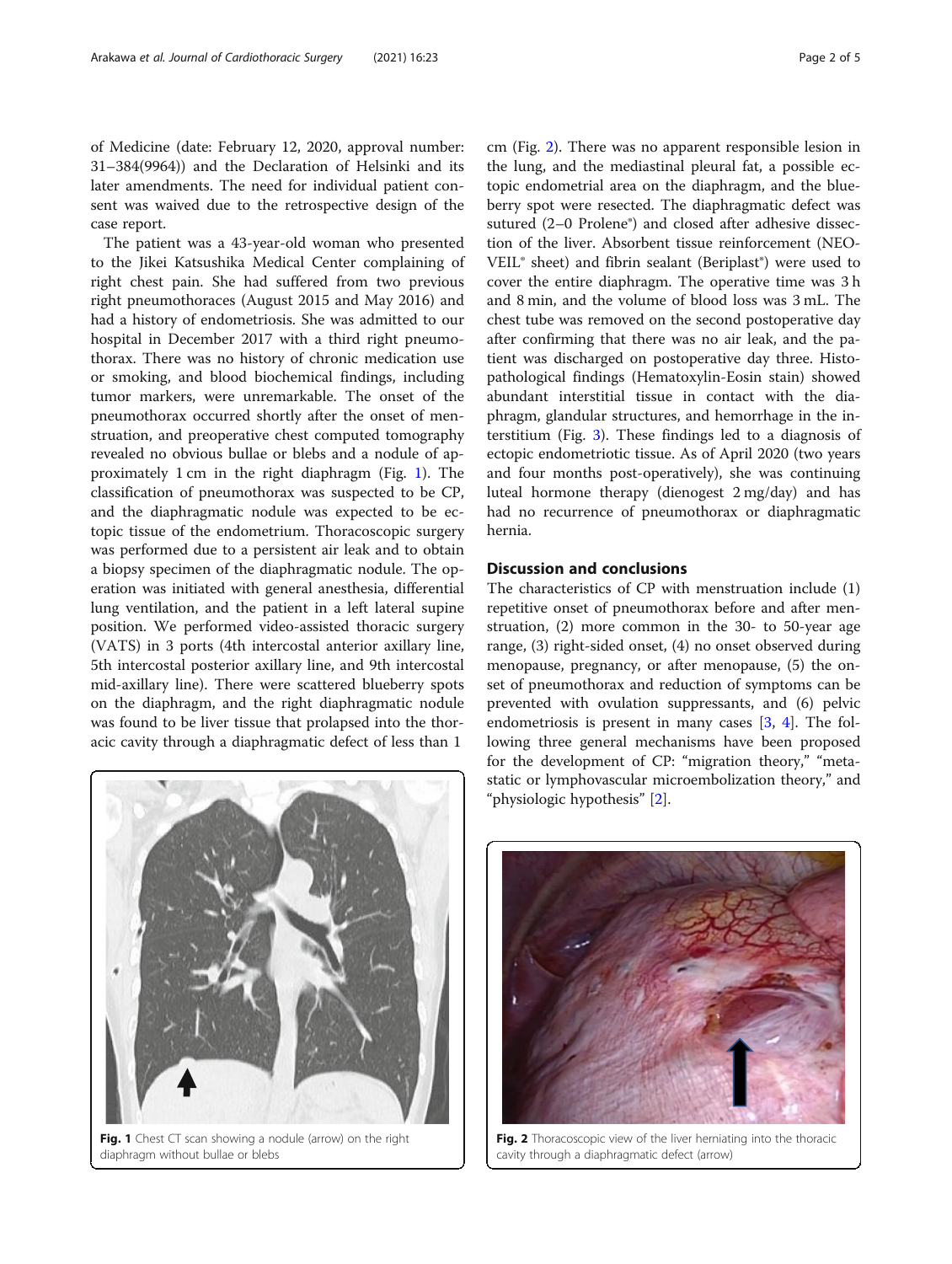of Medicine (date: February 12, 2020, approval number: 31–384(9964)) and the Declaration of Helsinki and its later amendments. The need for individual patient consent was waived due to the retrospective design of the case report.

The patient was a 43-year-old woman who presented to the Jikei Katsushika Medical Center complaining of right chest pain. She had suffered from two previous right pneumothoraces (August 2015 and May 2016) and had a history of endometriosis. She was admitted to our hospital in December 2017 with a third right pneumothorax. There was no history of chronic medication use or smoking, and blood biochemical findings, including tumor markers, were unremarkable. The onset of the pneumothorax occurred shortly after the onset of menstruation, and preoperative chest computed tomography revealed no obvious bullae or blebs and a nodule of approximately 1 cm in the right diaphragm (Fig. 1). The classification of pneumothorax was suspected to be CP, and the diaphragmatic nodule was expected to be ectopic tissue of the endometrium. Thoracoscopic surgery was performed due to a persistent air leak and to obtain a biopsy specimen of the diaphragmatic nodule. The operation was initiated with general anesthesia, differential lung ventilation, and the patient in a left lateral supine position. We performed video-assisted thoracic surgery (VATS) in 3 ports (4th intercostal anterior axillary line, 5th intercostal posterior axillary line, and 9th intercostal mid-axillary line). There were scattered blueberry spots on the diaphragm, and the right diaphragmatic nodule was found to be liver tissue that prolapsed into the thoracic cavity through a diaphragmatic defect of less than 1



Fig. 1 Chest CT scan showing a nodule (arrow) on the right diaphragm without bullae or blebs

cm (Fig. 2). There was no apparent responsible lesion in the lung, and the mediastinal pleural fat, a possible ectopic endometrial area on the diaphragm, and the blueberry spot were resected. The diaphragmatic defect was sutured (2–0 Prolene<sup>®</sup>) and closed after adhesive dissection of the liver. Absorbent tissue reinforcement (NEO-VEIL® sheet) and fibrin sealant (Beriplast®) were used to cover the entire diaphragm. The operative time was 3 h and 8 min, and the volume of blood loss was 3 mL. The chest tube was removed on the second postoperative day after confirming that there was no air leak, and the patient was discharged on postoperative day three. Histopathological findings (Hematoxylin-Eosin stain) showed abundant interstitial tissue in contact with the diaphragm, glandular structures, and hemorrhage in the interstitium (Fig. [3\)](#page-3-0). These findings led to a diagnosis of ectopic endometriotic tissue. As of April 2020 (two years and four months post-operatively), she was continuing luteal hormone therapy (dienogest 2 mg/day) and has had no recurrence of pneumothorax or diaphragmatic hernia.

## Discussion and conclusions

The characteristics of CP with menstruation include (1) repetitive onset of pneumothorax before and after menstruation, (2) more common in the 30- to 50-year age range, (3) right-sided onset, (4) no onset observed during menopause, pregnancy, or after menopause, (5) the onset of pneumothorax and reduction of symptoms can be prevented with ovulation suppressants, and (6) pelvic endometriosis is present in many cases [\[3](#page-3-0), [4](#page-3-0)]. The following three general mechanisms have been proposed for the development of CP: "migration theory," "metastatic or lymphovascular microembolization theory," and "physiologic hypothesis" [[2\]](#page-3-0).



Fig. 2 Thoracoscopic view of the liver herniating into the thoracic cavity through a diaphragmatic defect (arrow)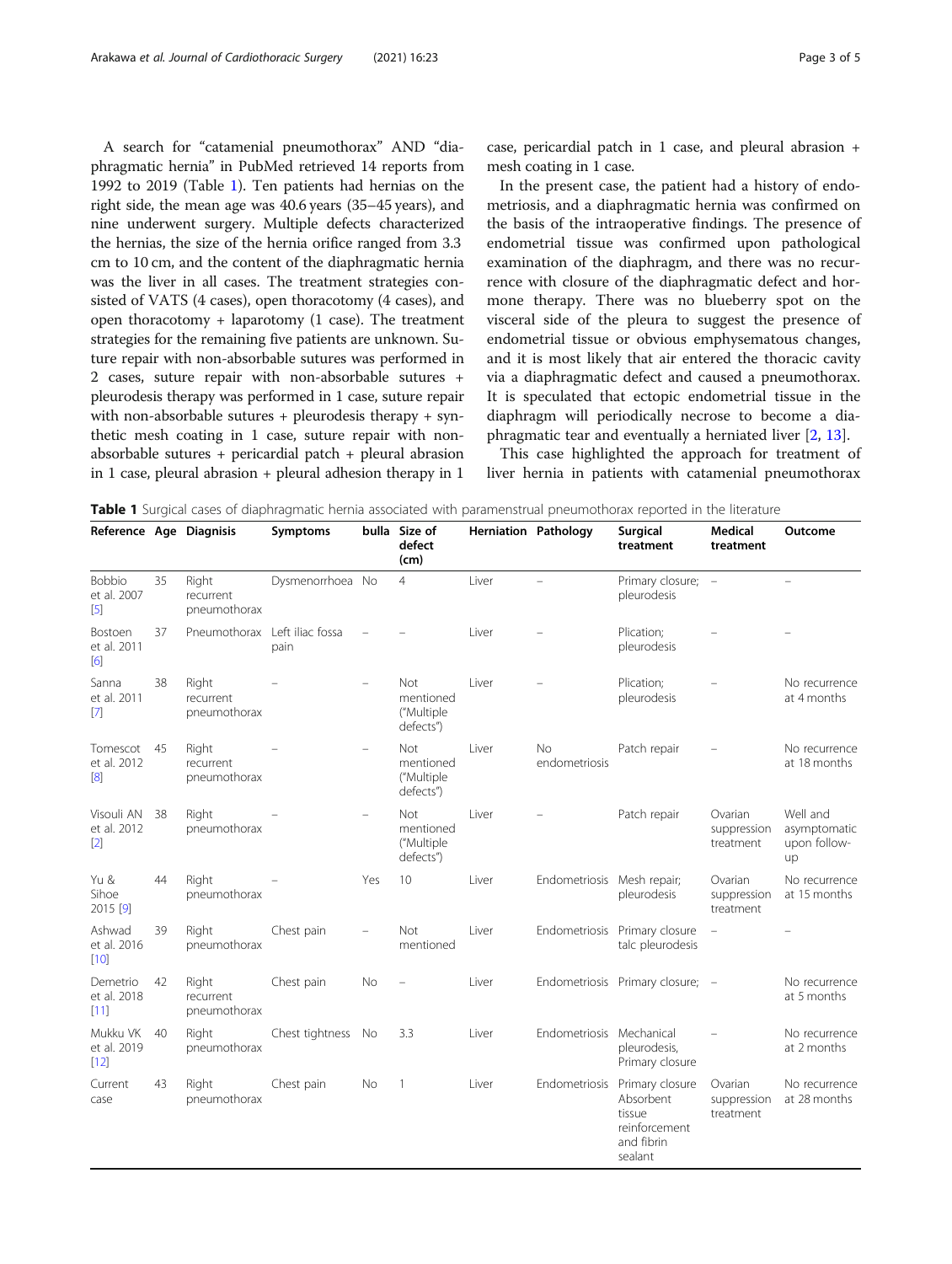A search for "catamenial pneumothorax" AND "diaphragmatic hernia" in PubMed retrieved 14 reports from 1992 to 2019 (Table 1). Ten patients had hernias on the right side, the mean age was 40.6 years (35–45 years), and nine underwent surgery. Multiple defects characterized the hernias, the size of the hernia orifice ranged from 3.3 cm to 10 cm, and the content of the diaphragmatic hernia was the liver in all cases. The treatment strategies consisted of VATS (4 cases), open thoracotomy (4 cases), and open thoracotomy + laparotomy  $(1 \text{ case})$ . The treatment strategies for the remaining five patients are unknown. Suture repair with non-absorbable sutures was performed in 2 cases, suture repair with non-absorbable sutures + pleurodesis therapy was performed in 1 case, suture repair with non-absorbable sutures + pleurodesis therapy + synthetic mesh coating in 1 case, suture repair with nonabsorbable sutures + pericardial patch + pleural abrasion in 1 case, pleural abrasion + pleural adhesion therapy in 1

case, pericardial patch in 1 case, and pleural abrasion + mesh coating in 1 case.

In the present case, the patient had a history of endometriosis, and a diaphragmatic hernia was confirmed on the basis of the intraoperative findings. The presence of endometrial tissue was confirmed upon pathological examination of the diaphragm, and there was no recurrence with closure of the diaphragmatic defect and hormone therapy. There was no blueberry spot on the visceral side of the pleura to suggest the presence of endometrial tissue or obvious emphysematous changes, and it is most likely that air entered the thoracic cavity via a diaphragmatic defect and caused a pneumothorax. It is speculated that ectopic endometrial tissue in the diaphragm will periodically necrose to become a diaphragmatic tear and eventually a herniated liver [[2,](#page-3-0) [13\]](#page-4-0).

This case highlighted the approach for treatment of liver hernia in patients with catamenial pneumothorax

Table 1 Surgical cases of diaphragmatic hernia associated with paramenstrual pneumothorax reported in the literature

| Reference Age Diagnisis               |    |                                    | Symptoms         |     | bulla Size of<br>defect<br>(cm)                    |        | <b>Herniation Pathology</b> | <b>Surgical</b><br>treatment                                                                   | <b>Medical</b><br>treatment         | Outcome                                        |
|---------------------------------------|----|------------------------------------|------------------|-----|----------------------------------------------------|--------|-----------------------------|------------------------------------------------------------------------------------------------|-------------------------------------|------------------------------------------------|
| <b>Bobbio</b><br>et al. 2007<br>$[5]$ | 35 | Right<br>recurrent<br>pneumothorax | Dysmenorrhoea No |     | $\overline{4}$                                     | Liver  |                             | Primary closure;<br>pleurodesis                                                                | $\overline{\phantom{a}}$            |                                                |
| Bostoen<br>et al. 2011<br>[6]         | 37 | Pneumothorax Left iliac fossa      | pain             |     |                                                    | l iver |                             | Plication;<br>pleurodesis                                                                      |                                     |                                                |
| Sanna<br>et al. 2011<br>$[7]$         | 38 | Right<br>recurrent<br>pneumothorax |                  |     | <b>Not</b><br>mentioned<br>("Multiple<br>defects") | Liver  |                             | Plication;<br>pleurodesis                                                                      |                                     | No recurrence<br>at 4 months                   |
| Tomescot<br>et al. 2012<br>[8]        | 45 | Right<br>recurrent<br>pneumothorax |                  |     | Not<br>mentioned<br>("Multiple<br>defects")        | Liver  | <b>No</b><br>endometriosis  | Patch repair                                                                                   |                                     | No recurrence<br>at 18 months                  |
| Visouli AN<br>et al. 2012<br>$[2]$    | 38 | Right<br>pneumothorax              |                  |     | Not.<br>mentioned<br>("Multiple<br>defects")       | Liver  |                             | Patch repair                                                                                   | Ovarian<br>suppression<br>treatment | Well and<br>asymptomatic<br>upon follow-<br>up |
| Yu &<br>Sihoe<br>2015 [9]             | 44 | Right<br>pneumothorax              |                  | Yes | 10                                                 | Liver  | Endometriosis Mesh repair;  | pleurodesis                                                                                    | Ovarian<br>suppression<br>treatment | No recurrence<br>at 15 months                  |
| Ashwad<br>et al. 2016<br>[10]         | 39 | Right<br>pneumothorax              | Chest pain       |     | Not<br>mentioned                                   | Liver  |                             | Endometriosis Primary closure<br>talc pleurodesis                                              |                                     |                                                |
| Demetrio<br>et al. 2018<br>$[11]$     | 42 | Right<br>recurrent<br>pneumothorax | Chest pain       | No  |                                                    | Liver  |                             | Endometriosis Primary closure; -                                                               |                                     | No recurrence<br>at 5 months                   |
| Mukku VK<br>et al. 2019<br>[12]       | 40 | Right<br>pneumothorax              | Chest tightness  | No  | 3.3                                                | Liver  | Endometriosis Mechanical    | pleurodesis,<br>Primary closure                                                                |                                     | No recurrence<br>at 2 months                   |
| Current<br>case                       | 43 | Right<br>pneumothorax              | Chest pain       | No  | $\mathbf{1}$                                       | Liver  |                             | Endometriosis Primary closure<br>Absorbent<br>tissue<br>reinforcement<br>and fibrin<br>sealant | Ovarian<br>suppression<br>treatment | No recurrence<br>at 28 months                  |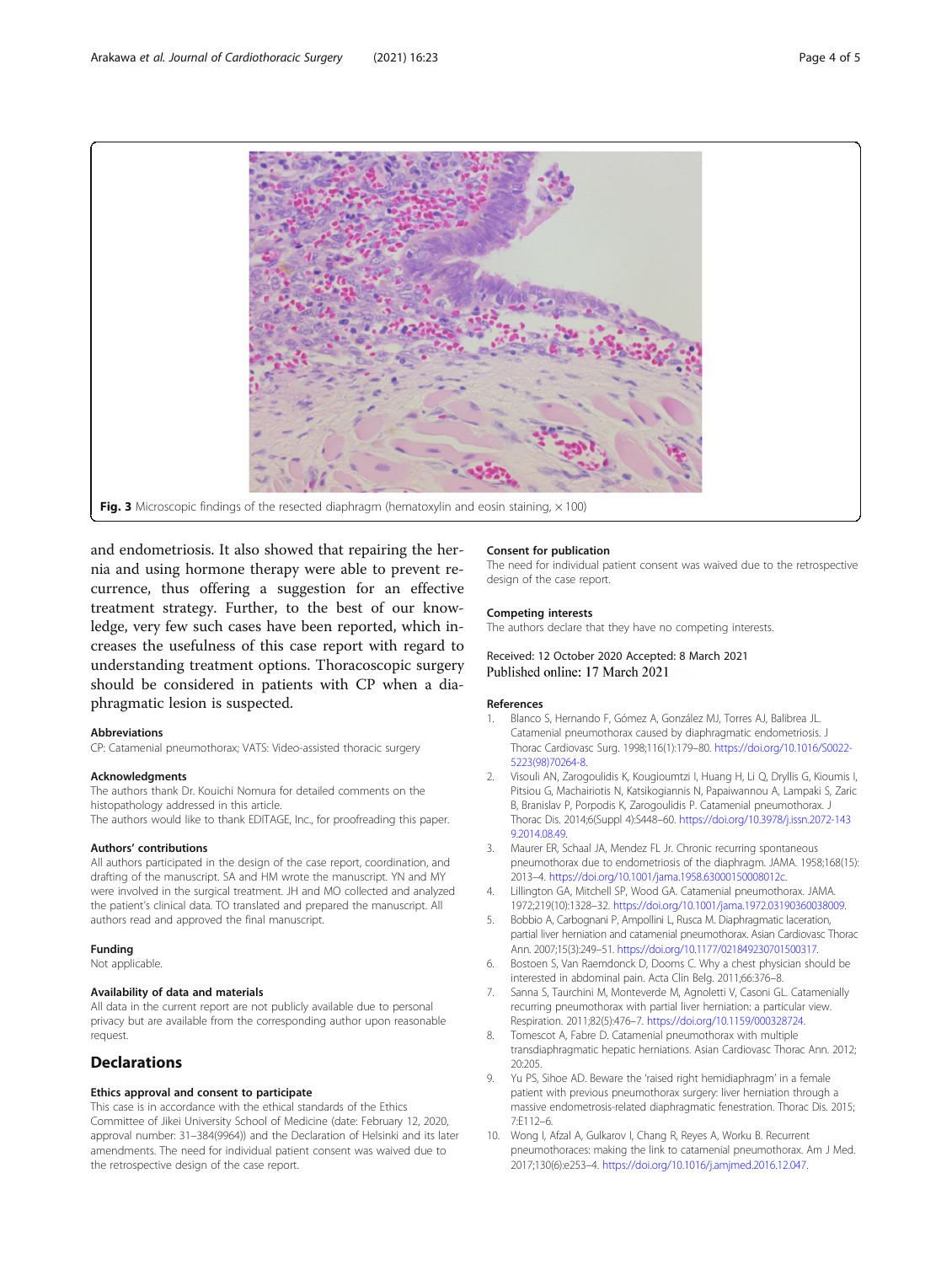<span id="page-3-0"></span>

and endometriosis. It also showed that repairing the hernia and using hormone therapy were able to prevent recurrence, thus offering a suggestion for an effective treatment strategy. Further, to the best of our knowledge, very few such cases have been reported, which increases the usefulness of this case report with regard to understanding treatment options. Thoracoscopic surgery should be considered in patients with CP when a diaphragmatic lesion is suspected.

#### Abbreviations

CP: Catamenial pneumothorax; VATS: Video-assisted thoracic surgery

#### Acknowledgments

The authors thank Dr. Kouichi Nomura for detailed comments on the histopathology addressed in this article. The authors would like to thank EDITAGE, Inc., for proofreading this paper.

## Authors' contributions

All authors participated in the design of the case report, coordination, and drafting of the manuscript. SA and HM wrote the manuscript. YN and MY were involved in the surgical treatment. JH and MO collected and analyzed the patient's clinical data. TO translated and prepared the manuscript. All authors read and approved the final manuscript.

#### Funding

Not applicable.

#### Availability of data and materials

All data in the current report are not publicly available due to personal privacy but are available from the corresponding author upon reasonable request.

# **Declarations**

#### Ethics approval and consent to participate

This case is in accordance with the ethical standards of the Ethics Committee of Jikei University School of Medicine (date: February 12, 2020, approval number: 31–384(9964)) and the Declaration of Helsinki and its later amendments. The need for individual patient consent was waived due to the retrospective design of the case report.

#### Consent for publication

The need for individual patient consent was waived due to the retrospective design of the case report.

#### Competing interests

The authors declare that they have no competing interests.

#### Received: 12 October 2020 Accepted: 8 March 2021 Published online: 17 March 2021

#### References

- 1. Blanco S, Hernando F, Gómez A, González MJ, Torres AJ, Balibrea JL. Catamenial pneumothorax caused by diaphragmatic endometriosis. J Thorac Cardiovasc Surg. 1998;116(1):179–80. [https://doi.org/10.1016/S0022-](https://doi.org/10.1016/S0022-5223(98)70264-8) [5223\(98\)70264-8](https://doi.org/10.1016/S0022-5223(98)70264-8).
- 2. Visouli AN, Zarogoulidis K, Kougioumtzi I, Huang H, Li Q, Dryllis G, Kioumis I, Pitsiou G, Machairiotis N, Katsikogiannis N, Papaiwannou A, Lampaki S, Zaric B, Branislav P, Porpodis K, Zarogoulidis P. Catamenial pneumothorax. J Thorac Dis. 2014;6(Suppl 4):S448–60. [https://doi.org/10.3978/j.issn.2072-143](https://doi.org/10.3978/j.issn.2072-1439.2014.08.49) [9.2014.08.49.](https://doi.org/10.3978/j.issn.2072-1439.2014.08.49)
- 3. Maurer ER, Schaal JA, Mendez FL Jr. Chronic recurring spontaneous pneumothorax due to endometriosis of the diaphragm. JAMA. 1958;168(15): 2013–4. <https://doi.org/10.1001/jama.1958.63000150008012c>.
- 4. Lillington GA, Mitchell SP, Wood GA. Catamenial pneumothorax. JAMA. 1972;219(10):1328–32. [https://doi.org/10.1001/jama.1972.03190360038009.](https://doi.org/10.1001/jama.1972.03190360038009)
- 5. Bobbio A, Carbognani P, Ampollini L, Rusca M. Diaphragmatic laceration, partial liver herniation and catamenial pneumothorax. Asian Cardiovasc Thorac Ann. 2007;15(3):249–51. <https://doi.org/10.1177/021849230701500317>.
- 6. Bostoen S, Van Raemdonck D, Dooms C. Why a chest physician should be interested in abdominal pain. Acta Clin Belg. 2011;66:376–8.
- Sanna S, Taurchini M, Monteverde M, Agnoletti V, Casoni GL. Catamenially recurring pneumothorax with partial liver herniation: a particular view. Respiration. 2011;82(5):476–7. [https://doi.org/10.1159/000328724.](https://doi.org/10.1159/000328724)
- Tomescot A, Fabre D. Catamenial pneumothorax with multiple transdiaphragmatic hepatic herniations. Asian Cardiovasc Thorac Ann. 2012; 20:205.
- 9. Yu PS, Sihoe AD. Beware the 'raised right hemidiaphragm' in a female patient with previous pneumothorax surgery: liver herniation through a massive endometrosis-related diaphragmatic fenestration. Thorac Dis. 2015; 7:E112–6.
- 10. Wong I, Afzal A, Gulkarov I, Chang R, Reyes A, Worku B. Recurrent pneumothoraces: making the link to catamenial pneumothorax. Am J Med. 2017;130(6):e253–4. [https://doi.org/10.1016/j.amjmed.2016.12.047.](https://doi.org/10.1016/j.amjmed.2016.12.047)